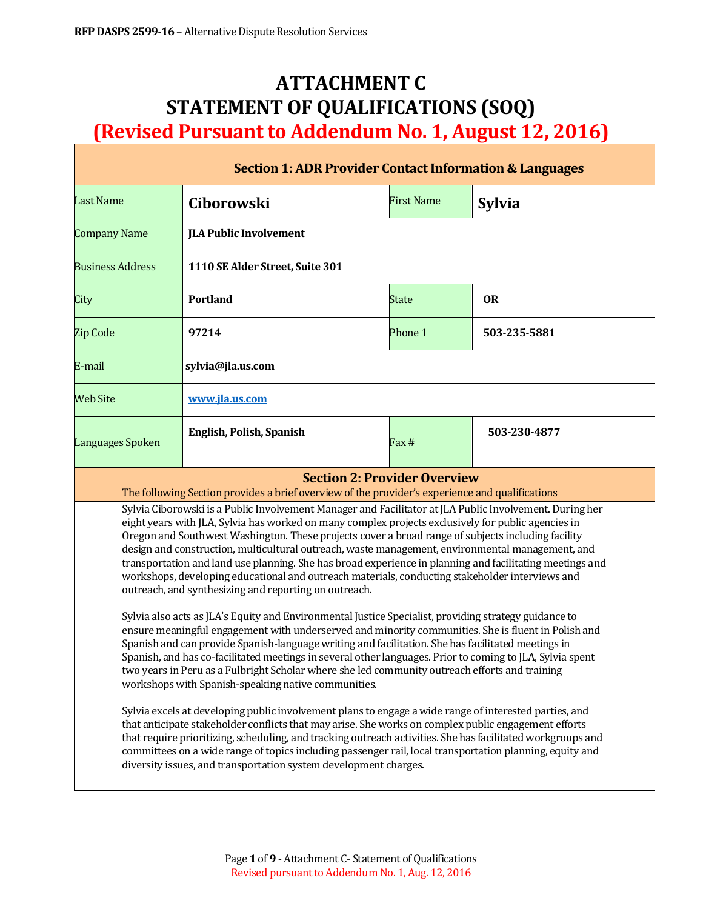# **ATTACHMENT C STATEMENT OF QUALIFICATIONS (SOQ) (Revised Pursuant to Addendum No. 1, August 12, 2016)**

| <b>Section 1: ADR Provider Contact Information &amp; Languages</b>                                                                                                                                                                                                                                                                                                                                                                                                                                                                                                                                                                                                                                                                                                                                                                                                                                               |                                                                                                                                        |                   |               |  |  |
|------------------------------------------------------------------------------------------------------------------------------------------------------------------------------------------------------------------------------------------------------------------------------------------------------------------------------------------------------------------------------------------------------------------------------------------------------------------------------------------------------------------------------------------------------------------------------------------------------------------------------------------------------------------------------------------------------------------------------------------------------------------------------------------------------------------------------------------------------------------------------------------------------------------|----------------------------------------------------------------------------------------------------------------------------------------|-------------------|---------------|--|--|
| <b>Last Name</b>                                                                                                                                                                                                                                                                                                                                                                                                                                                                                                                                                                                                                                                                                                                                                                                                                                                                                                 | <b>Ciborowski</b>                                                                                                                      | <b>First Name</b> | <b>Sylvia</b> |  |  |
| <b>Company Name</b>                                                                                                                                                                                                                                                                                                                                                                                                                                                                                                                                                                                                                                                                                                                                                                                                                                                                                              | <b>JLA Public Involvement</b>                                                                                                          |                   |               |  |  |
| <b>Business Address</b>                                                                                                                                                                                                                                                                                                                                                                                                                                                                                                                                                                                                                                                                                                                                                                                                                                                                                          | 1110 SE Alder Street, Suite 301                                                                                                        |                   |               |  |  |
| City                                                                                                                                                                                                                                                                                                                                                                                                                                                                                                                                                                                                                                                                                                                                                                                                                                                                                                             | <b>Portland</b>                                                                                                                        | <b>State</b>      | <b>OR</b>     |  |  |
| <b>Zip Code</b>                                                                                                                                                                                                                                                                                                                                                                                                                                                                                                                                                                                                                                                                                                                                                                                                                                                                                                  | 97214                                                                                                                                  | Phone 1           | 503-235-5881  |  |  |
| E-mail                                                                                                                                                                                                                                                                                                                                                                                                                                                                                                                                                                                                                                                                                                                                                                                                                                                                                                           | sylvia@jla.us.com                                                                                                                      |                   |               |  |  |
| <b>Web Site</b>                                                                                                                                                                                                                                                                                                                                                                                                                                                                                                                                                                                                                                                                                                                                                                                                                                                                                                  | www.jla.us.com                                                                                                                         |                   |               |  |  |
| Languages Spoken                                                                                                                                                                                                                                                                                                                                                                                                                                                                                                                                                                                                                                                                                                                                                                                                                                                                                                 | <b>English, Polish, Spanish</b>                                                                                                        | Fax#              | 503-230-4877  |  |  |
|                                                                                                                                                                                                                                                                                                                                                                                                                                                                                                                                                                                                                                                                                                                                                                                                                                                                                                                  | <b>Section 2: Provider Overview</b><br>The following Section provides a brief overview of the provider's experience and qualifications |                   |               |  |  |
| Sylvia Ciborowski is a Public Involvement Manager and Facilitator at JLA Public Involvement. During her<br>eight years with JLA, Sylvia has worked on many complex projects exclusively for public agencies in<br>Oregon and Southwest Washington. These projects cover a broad range of subjects including facility<br>design and construction, multicultural outreach, waste management, environmental management, and<br>transportation and land use planning. She has broad experience in planning and facilitating meetings and<br>workshops, developing educational and outreach materials, conducting stakeholder interviews and<br>outreach, and synthesizing and reporting on outreach.<br>Sylvia also acts as JLA's Equity and Environmental Justice Specialist, providing strategy guidance to<br>ensure meaningful engagement with underserved and minority communities. She is fluent in Polish and |                                                                                                                                        |                   |               |  |  |
| Spanish and can provide Spanish-language writing and facilitation. She has facilitated meetings in<br>Spanish, and has co-facilitated meetings in several other languages. Prior to coming to JLA, Sylvia spent<br>two years in Peru as a Fulbright Scholar where she led community outreach efforts and training<br>workshops with Spanish-speaking native communities.                                                                                                                                                                                                                                                                                                                                                                                                                                                                                                                                         |                                                                                                                                        |                   |               |  |  |
| Sylvia excels at developing public involvement plans to engage a wide range of interested parties, and<br>that anticipate stakeholder conflicts that may arise. She works on complex public engagement efforts<br>that require prioritizing, scheduling, and tracking outreach activities. She has facilitated workgroups and<br>committees on a wide range of topics including passenger rail, local transportation planning, equity and<br>diversity issues, and transportation system development charges.                                                                                                                                                                                                                                                                                                                                                                                                    |                                                                                                                                        |                   |               |  |  |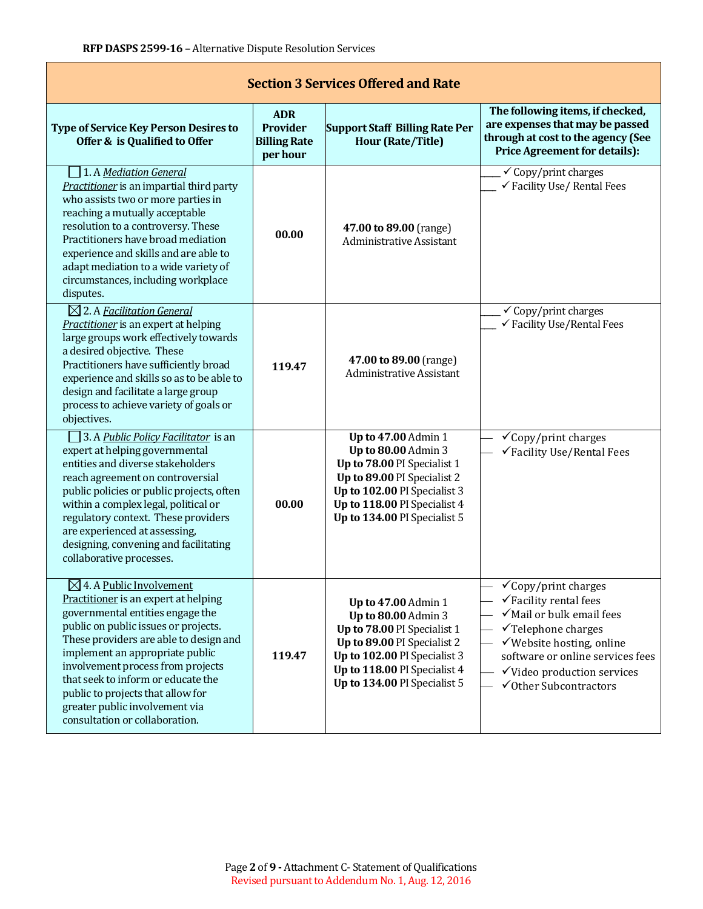$\mathbf{I}$ 

| <b>Section 3 Services Offered and Rate</b>                                                                                                                                                                                                                                                                                                                                                                               |                                                                  |                                                                                                                                                                                                                 |                                                                                                                                                                                                                                                                       |  |  |  |
|--------------------------------------------------------------------------------------------------------------------------------------------------------------------------------------------------------------------------------------------------------------------------------------------------------------------------------------------------------------------------------------------------------------------------|------------------------------------------------------------------|-----------------------------------------------------------------------------------------------------------------------------------------------------------------------------------------------------------------|-----------------------------------------------------------------------------------------------------------------------------------------------------------------------------------------------------------------------------------------------------------------------|--|--|--|
| <b>Type of Service Key Person Desires to</b><br>Offer & is Qualified to Offer                                                                                                                                                                                                                                                                                                                                            | <b>ADR</b><br><b>Provider</b><br><b>Billing Rate</b><br>per hour | <b>Support Staff Billing Rate Per</b><br><b>Hour (Rate/Title)</b>                                                                                                                                               | The following items, if checked,<br>are expenses that may be passed<br>through at cost to the agency (See<br><b>Price Agreement for details):</b>                                                                                                                     |  |  |  |
| 1. A Mediation General<br>Practitioner is an impartial third party<br>who assists two or more parties in<br>reaching a mutually acceptable<br>resolution to a controversy. These<br>Practitioners have broad mediation<br>experience and skills and are able to<br>adapt mediation to a wide variety of<br>circumstances, including workplace<br>disputes.                                                               | 00.00                                                            | 47.00 to 89.00 (range)<br><b>Administrative Assistant</b>                                                                                                                                                       | $\checkmark$ Copy/print charges<br>√ Facility Use/ Rental Fees                                                                                                                                                                                                        |  |  |  |
| $\boxtimes$ 2. A Facilitation General<br>Practitioner is an expert at helping<br>large groups work effectively towards<br>a desired objective. These<br>Practitioners have sufficiently broad<br>experience and skills so as to be able to<br>design and facilitate a large group<br>process to achieve variety of goals or<br>objectives.                                                                               | 119.47                                                           | 47.00 to 89.00 (range)<br><b>Administrative Assistant</b>                                                                                                                                                       | $\checkmark$ Copy/print charges<br>√ Facility Use/Rental Fees                                                                                                                                                                                                         |  |  |  |
| 3. A Public Policy Facilitator is an<br>expert at helping governmental<br>entities and diverse stakeholders<br>reach agreement on controversial<br>public policies or public projects, often<br>within a complex legal, political or<br>regulatory context. These providers<br>are experienced at assessing,<br>designing, convening and facilitating<br>collaborative processes.                                        | 00.00                                                            | <b>Up to 47.00 Admin 1</b><br>Up to 80.00 Admin 3<br>Up to 78.00 PI Specialist 1<br>Up to 89.00 PI Specialist 2<br>Up to 102.00 PI Specialist 3<br>Up to 118.00 PI Specialist 4<br>Up to 134.00 PI Specialist 5 | $\checkmark$ Copy/print charges<br>√Facility Use/Rental Fees                                                                                                                                                                                                          |  |  |  |
| $\boxtimes$ 4. A Public Involvement<br>Practitioner is an expert at helping<br>governmental entities engage the<br>public on public issues or projects.<br>These providers are able to design and<br>implement an appropriate public<br>involvement process from projects<br>that seek to inform or educate the<br>public to projects that allow for<br>greater public involvement via<br>consultation or collaboration. | 119.47                                                           | Up to 47.00 Admin 1<br>Up to 80.00 Admin 3<br>Up to 78.00 PI Specialist 1<br>Up to 89.00 PI Specialist 2<br>Up to 102.00 PI Specialist 3<br>Up to 118.00 PI Specialist 4<br>Up to 134.00 PI Specialist 5        | $\checkmark$ Copy/print charges<br>$\checkmark$ Facility rental fees<br>√Mail or bulk email fees<br>$\checkmark$ Telephone charges<br>√Website hosting, online<br>software or online services fees<br>√Video production services<br>$\checkmark$ Other Subcontractors |  |  |  |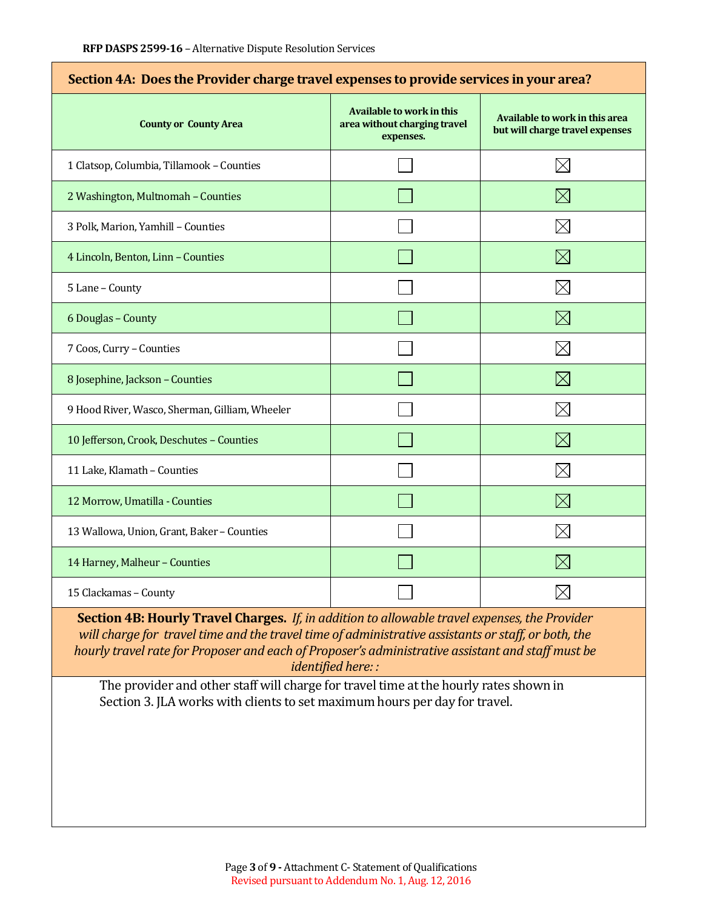| Section 4A: Does the Provider charge travel expenses to provide services in your area? |                                                                               |                                                                   |  |  |
|----------------------------------------------------------------------------------------|-------------------------------------------------------------------------------|-------------------------------------------------------------------|--|--|
| <b>County or County Area</b>                                                           | <b>Available to work in this</b><br>area without charging travel<br>expenses. | Available to work in this area<br>but will charge travel expenses |  |  |
| 1 Clatsop, Columbia, Tillamook - Counties                                              |                                                                               | $\boxtimes$                                                       |  |  |
| 2 Washington, Multnomah - Counties                                                     |                                                                               | $\times$                                                          |  |  |
| 3 Polk, Marion, Yamhill - Counties                                                     |                                                                               | $\boxtimes$                                                       |  |  |
| 4 Lincoln, Benton, Linn - Counties                                                     |                                                                               | $\boxtimes$                                                       |  |  |
| 5 Lane - County                                                                        |                                                                               | $\boxtimes$                                                       |  |  |
| 6 Douglas - County                                                                     |                                                                               | $\boxtimes$                                                       |  |  |
| 7 Coos, Curry - Counties                                                               |                                                                               | $\boxtimes$                                                       |  |  |
| 8 Josephine, Jackson - Counties                                                        |                                                                               | $\boxtimes$                                                       |  |  |
| 9 Hood River, Wasco, Sherman, Gilliam, Wheeler                                         |                                                                               | $\boxtimes$                                                       |  |  |
| 10 Jefferson, Crook, Deschutes - Counties                                              |                                                                               | $\boxtimes$                                                       |  |  |
| 11 Lake, Klamath - Counties                                                            |                                                                               | $\boxtimes$                                                       |  |  |
| 12 Morrow, Umatilla - Counties                                                         |                                                                               | $\boxtimes$                                                       |  |  |
| 13 Wallowa, Union, Grant, Baker - Counties                                             |                                                                               | $\boxtimes$                                                       |  |  |
| 14 Harney, Malheur - Counties                                                          |                                                                               | $\boxtimes$                                                       |  |  |
| 15 Clackamas - County                                                                  |                                                                               |                                                                   |  |  |

**Section 4B: Hourly Travel Charges.** *If, in addition to allowable travel expenses, the Provider will charge for travel time and the travel time of administrative assistants or staff, or both, the hourly travel rate for Proposer and each of Proposer's administrative assistant and staff must be identified here: :*

The provider and other staff will charge for travel time at the hourly rates shown in Section 3. JLA works with clients to set maximum hours per day for travel.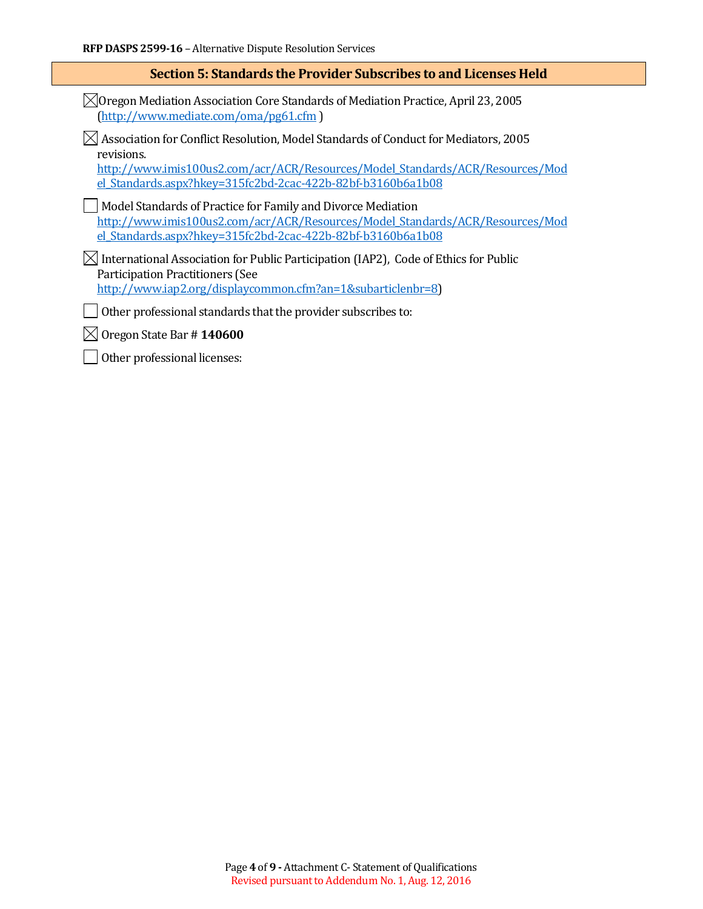#### **Section 5: Standards the Provider Subscribes to and Licenses Held**

 $\boxtimes$ Oregon Mediation Association Core Standards of Mediation Practice, April 23, 2005 [\(http://www.mediate.com/oma/pg61.cfm](http://www.mediate.com/oma/pg61.cfm) )

#### $\boxtimes$  Association for Conflict Resolution, Model Standards of Conduct for Mediators, 2005 revisions.

[http://www.imis100us2.com/acr/ACR/Resources/Model\\_Standards/ACR/Resources/Mod](http://www.imis100us2.com/acr/ACR/Resources/Model_Standards/ACR/Resources/Model_Standards.aspx?hkey=315fc2bd-2cac-422b-82bf-b3160b6a1b08) [el\\_Standards.aspx?hkey=315fc2bd-2cac-422b-82bf-b3160b6a1b08](http://www.imis100us2.com/acr/ACR/Resources/Model_Standards/ACR/Resources/Model_Standards.aspx?hkey=315fc2bd-2cac-422b-82bf-b3160b6a1b08)

Model Standards of Practice for Family and Divorce Mediation [http://www.imis100us2.com/acr/ACR/Resources/Model\\_Standards/ACR/Resources/Mod](http://www.imis100us2.com/acr/ACR/Resources/Model_Standards/ACR/Resources/Model_Standards.aspx?hkey=315fc2bd-2cac-422b-82bf-b3160b6a1b08) [el\\_Standards.aspx?hkey=315fc2bd-2cac-422b-82bf-b3160b6a1b08](http://www.imis100us2.com/acr/ACR/Resources/Model_Standards/ACR/Resources/Model_Standards.aspx?hkey=315fc2bd-2cac-422b-82bf-b3160b6a1b08)

 $\boxtimes$  International Association for Public Participation (IAP2), Code of Ethics for Public Participation Practitioners (See [http://www.iap2.org/displaycommon.cfm?an=1&subarticlenbr=8\)](http://www.iap2.org/displaycommon.cfm?an=1&subarticlenbr=8)

 $\Box$  Other professional standards that the provider subscribes to:

Oregon State Bar # **140600**

 $\mathbf{I}$ Other professional licenses: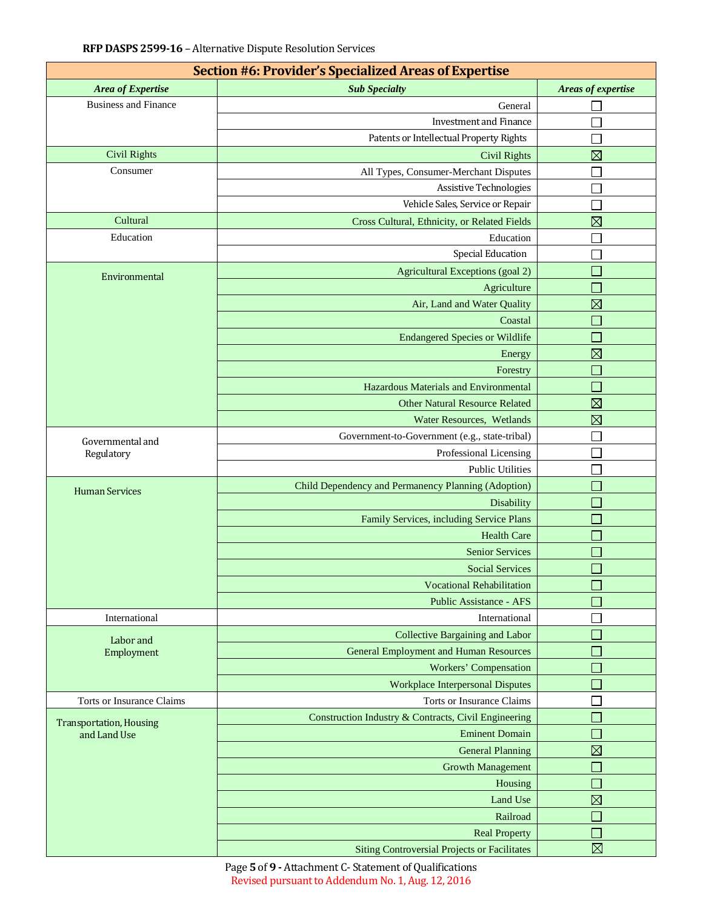| Section #6: Provider's Specialized Areas of Expertise |                                                      |                             |  |  |  |  |
|-------------------------------------------------------|------------------------------------------------------|-----------------------------|--|--|--|--|
| Area of Expertise                                     | <b>Sub Specialty</b>                                 | Areas of expertise          |  |  |  |  |
| <b>Business and Finance</b>                           | General                                              |                             |  |  |  |  |
|                                                       | <b>Investment and Finance</b>                        |                             |  |  |  |  |
|                                                       | Patents or Intellectual Property Rights              |                             |  |  |  |  |
| <b>Civil Rights</b>                                   | <b>Civil Rights</b>                                  | $\boxtimes$                 |  |  |  |  |
| Consumer                                              | All Types, Consumer-Merchant Disputes                |                             |  |  |  |  |
|                                                       | <b>Assistive Technologies</b>                        |                             |  |  |  |  |
|                                                       | Vehicle Sales, Service or Repair                     |                             |  |  |  |  |
| Cultural                                              | Cross Cultural, Ethnicity, or Related Fields         | $\boxtimes$                 |  |  |  |  |
| Education                                             | Education                                            |                             |  |  |  |  |
|                                                       | <b>Special Education</b>                             |                             |  |  |  |  |
| Environmental                                         | Agricultural Exceptions (goal 2)                     |                             |  |  |  |  |
|                                                       | Agriculture                                          |                             |  |  |  |  |
|                                                       | Air, Land and Water Quality                          | $\boxtimes$                 |  |  |  |  |
|                                                       | Coastal                                              |                             |  |  |  |  |
|                                                       | <b>Endangered Species or Wildlife</b>                |                             |  |  |  |  |
|                                                       | Energy                                               | $\boxtimes$                 |  |  |  |  |
|                                                       | Forestry                                             | $\mathcal{L}_{\mathcal{A}}$ |  |  |  |  |
|                                                       | Hazardous Materials and Environmental                | $\Box$                      |  |  |  |  |
|                                                       | <b>Other Natural Resource Related</b>                | $\boxtimes$                 |  |  |  |  |
|                                                       | Water Resources, Wetlands                            | $\boxtimes$                 |  |  |  |  |
|                                                       | Government-to-Government (e.g., state-tribal)        |                             |  |  |  |  |
| Governmental and<br>Regulatory                        | Professional Licensing                               |                             |  |  |  |  |
|                                                       | <b>Public Utilities</b>                              |                             |  |  |  |  |
|                                                       | Child Dependency and Permanency Planning (Adoption)  |                             |  |  |  |  |
| <b>Human Services</b>                                 | Disability                                           |                             |  |  |  |  |
|                                                       | Family Services, including Service Plans             | $\mathcal{L}_{\mathcal{A}}$ |  |  |  |  |
|                                                       | <b>Health Care</b>                                   |                             |  |  |  |  |
|                                                       | <b>Senior Services</b>                               |                             |  |  |  |  |
|                                                       | <b>Social Services</b>                               |                             |  |  |  |  |
|                                                       | <b>Vocational Rehabilitation</b>                     |                             |  |  |  |  |
|                                                       | <b>Public Assistance - AFS</b>                       |                             |  |  |  |  |
| International                                         | International                                        |                             |  |  |  |  |
|                                                       | Collective Bargaining and Labor                      |                             |  |  |  |  |
| Labor and<br>Employment                               | <b>General Employment and Human Resources</b>        |                             |  |  |  |  |
|                                                       | <b>Workers' Compensation</b>                         |                             |  |  |  |  |
|                                                       | <b>Workplace Interpersonal Disputes</b>              |                             |  |  |  |  |
| Torts or Insurance Claims                             | Torts or Insurance Claims                            |                             |  |  |  |  |
|                                                       | Construction Industry & Contracts, Civil Engineering |                             |  |  |  |  |
| <b>Transportation, Housing</b><br>and Land Use        | <b>Eminent Domain</b>                                |                             |  |  |  |  |
|                                                       | <b>General Planning</b>                              | $\boxtimes$                 |  |  |  |  |
|                                                       | <b>Growth Management</b>                             | Т.                          |  |  |  |  |
|                                                       | Housing                                              |                             |  |  |  |  |
|                                                       | Land Use                                             | $\boxtimes$                 |  |  |  |  |
|                                                       | Railroad                                             |                             |  |  |  |  |
|                                                       | <b>Real Property</b>                                 |                             |  |  |  |  |
|                                                       | <b>Siting Controversial Projects or Facilitates</b>  | $\boxtimes$                 |  |  |  |  |

Page **5** of **9 -** Attachment C- Statement of Qualifications Revised pursuant to Addendum No. 1, Aug. 12, 2016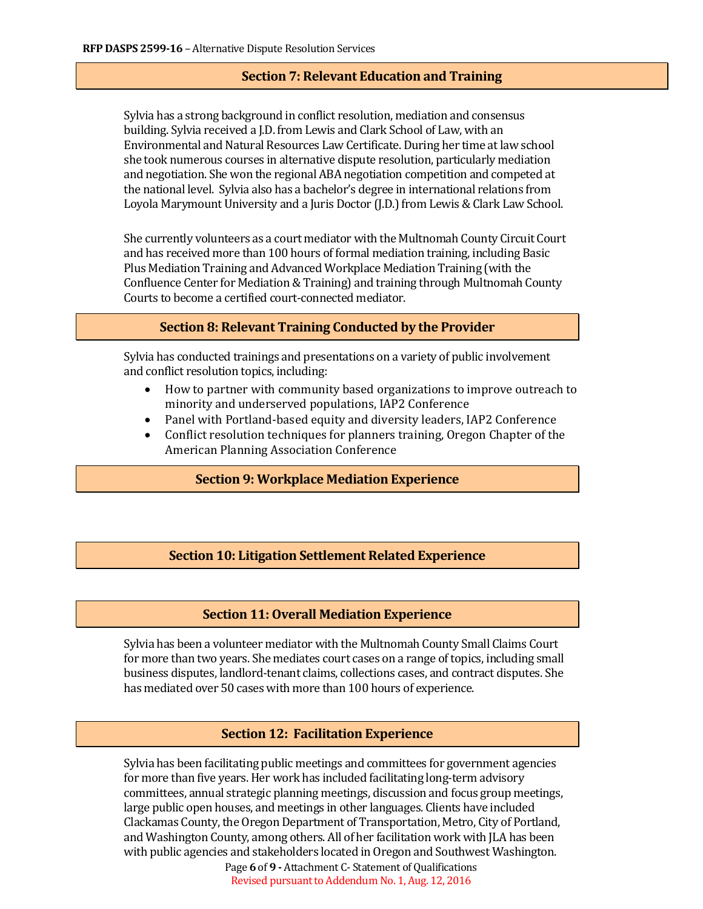# **Section 7: Relevant Education and Training**

Sylvia has a strong background in conflict resolution, mediation and consensus building. Sylvia received a J.D. from Lewis and Clark School of Law, with an Environmental and Natural Resources Law Certificate. During her time at law school she took numerous courses in alternative dispute resolution, particularly mediation and negotiation. She won the regional ABA negotiation competition and competed at the national level. Sylvia also has a bachelor's degree in international relations from Loyola Marymount University and a Juris Doctor (J.D.) from Lewis & Clark Law School.

She currently volunteers as a court mediator with the Multnomah County Circuit Court and has received more than 100 hours of formal mediation training, including Basic Plus Mediation Training and Advanced Workplace Mediation Training (with the Confluence Center for Mediation & Training) and training through Multnomah County Courts to become a certified court-connected mediator.

# **Section 8: Relevant Training Conducted by the Provider**

Sylvia has conducted trainings and presentations on a variety of public involvement and conflict resolution topics, including:

- How to partner with community based organizations to improve outreach to minority and underserved populations, IAP2 Conference
- Panel with Portland-based equity and diversity leaders, IAP2 Conference<br>• Conflict resolution techniques for planners training. Oregon Chapter of th
- Conflict resolution techniques for planners training, Oregon Chapter of the American Planning Association Conference

### **Section 9: Workplace Mediation Experience**

### **Section 10: Litigation Settlement Related Experience**

### **Section 11: Overall Mediation Experience**

Sylvia has been a volunteer mediator with the Multnomah County Small Claims Court for more than two years. She mediates court cases on a range of topics, including small business disputes, landlord-tenant claims, collections cases, and contract disputes. She has mediated over 50 cases with more than 100 hours of experience.

### **Section 12: Facilitation Experience**

Sylvia has been facilitating public meetings and committees for government agencies for more than five years. Her work has included facilitating long-term advisory committees, annual strategic planning meetings, discussion and focus group meetings, large public open houses, and meetings in other languages. Clients have included Clackamas County, the Oregon Department of Transportation, Metro, City of Portland, and Washington County, among others. All of her facilitation work with JLA has been with public agencies and stakeholders located in Oregon and Southwest Washington.

Page **6** of **9 -** Attachment C- Statement of Qualifications Revised pursuant to Addendum No. 1, Aug. 12, 2016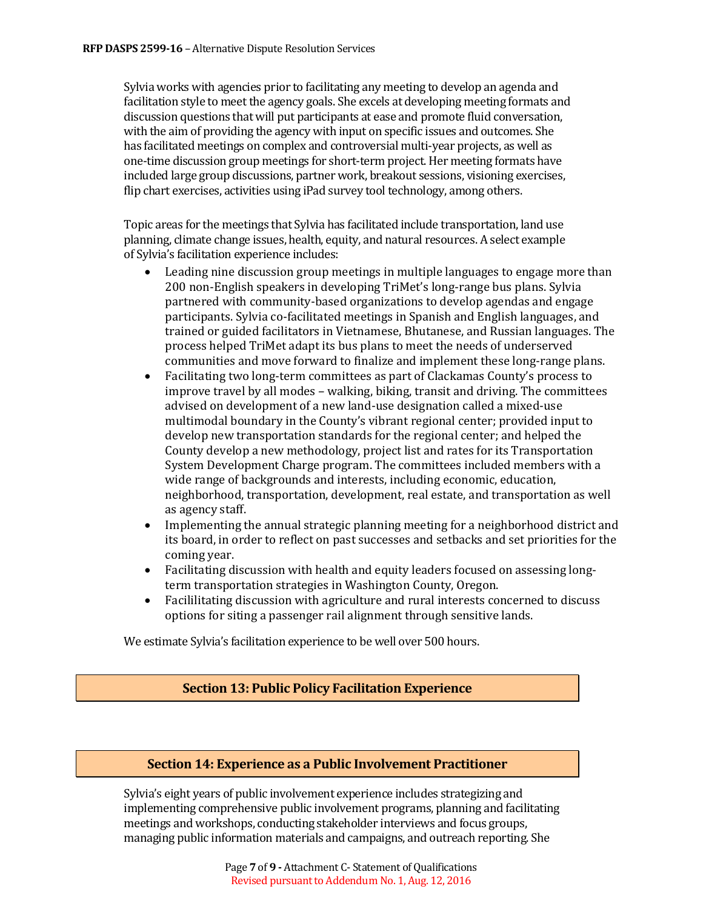Sylvia works with agencies prior to facilitating any meeting to develop an agenda and facilitation style to meet the agency goals. She excels at developing meeting formats and discussion questions that will put participants at ease and promote fluid conversation, with the aim of providing the agency with input on specific issues and outcomes. She has facilitated meetings on complex and controversial multi-year projects, as well as one-time discussion group meetings for short-term project.Her meeting formats have included large group discussions, partner work, breakout sessions, visioning exercises, flip chart exercises, activities using iPad survey tool technology, among others.

Topic areas for the meetings that Sylvia has facilitated include transportation, land use planning, climate change issues, health, equity, and natural resources. A select example of Sylvia's facilitation experience includes:

- Leading nine discussion group meetings in multiple languages to engage more than 200 non-English speakers in developing TriMet's long-range bus plans. Sylvia partnered with community-based organizations to develop agendas and engage participants. Sylvia co-facilitated meetings in Spanish and English languages, and trained or guided facilitators in Vietnamese, Bhutanese, and Russian languages. The process helped TriMet adapt its bus plans to meet the needs of underserved communities and move forward to finalize and implement these long-range plans.
- Facilitating two long-term committees as part of Clackamas County's process to improve travel by all modes – walking, biking, transit and driving. The committees advised on development of a new land-use designation called a mixed-use multimodal boundary in the County's vibrant regional center; provided input to develop new transportation standards for the regional center; and helped the County develop a new methodology, project list and rates for its Transportation System Development Charge program. The committees included members with a wide range of backgrounds and interests, including economic, education, neighborhood, transportation, development, real estate, and transportation as well as agency staff.
- Implementing the annual strategic planning meeting for a neighborhood district and its board, in order to reflect on past successes and setbacks and set priorities for the coming year.
- Facilitating discussion with health and equity leaders focused on assessing longterm transportation strategies in Washington County, Oregon.
- Facililitating discussion with agriculture and rural interests concerned to discuss options for siting a passenger rail alignment through sensitive lands.

We estimate Sylvia's facilitation experience to be well over 500 hours.

### **Section 13: Public Policy Facilitation Experience**

#### **Section 14: Experience as a Public Involvement Practitioner**

Sylvia's eight years of public involvement experience includes strategizing and implementing comprehensive public involvement programs, planning and facilitating meetings and workshops, conducting stakeholder interviews and focus groups, managing public information materials and campaigns, and outreach reporting. She